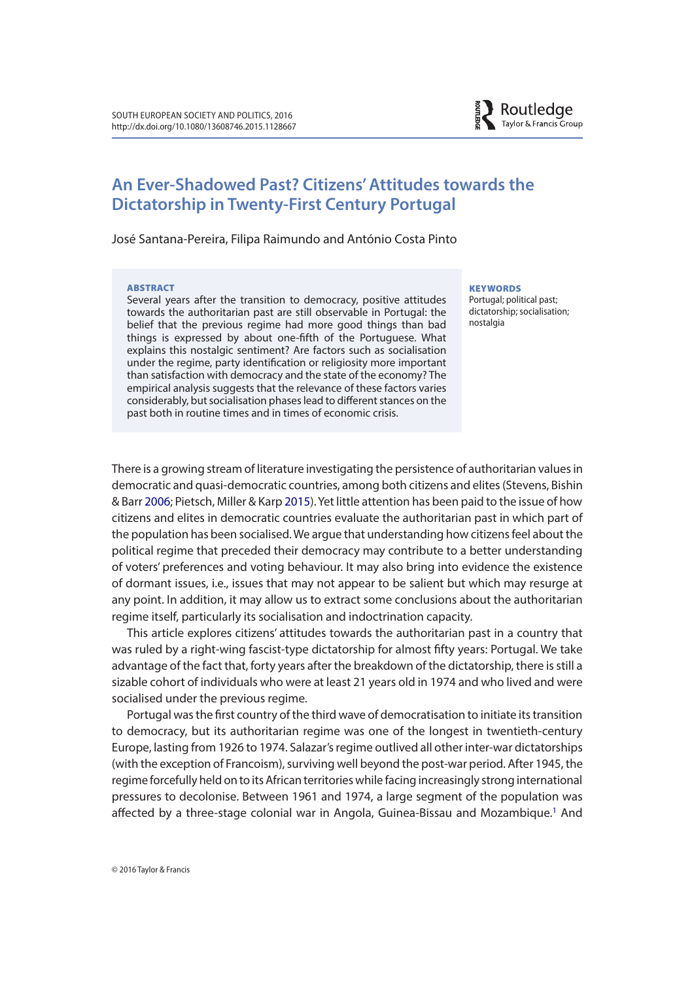

# **An Ever-Shadowed Past? Citizens' Attitudes towards the Dictatorship in Twenty-First Century Portugal**

José Santana-Pereira, Filipa Raimundo and António Costa Pinto

#### ABSTRACT

Several years after the transition to democracy, positive attitudes towards the authoritarian past are still observable in Portugal: the belief that the previous regime had more good things than bad things is expressed by about one-ffth of the Portuguese. What explains this nostalgic sentiment? Are factors such as socialisation under the regime, party identifcation or religiosity more important than satisfaction with democracy and the state of the economy? The empirical analysis suggests that the relevance of these factors varies considerably, but socialisation phases lead to diferent stances on the past both in routine times and in times of economic crisis.

#### **KEYWORDS**

Portugal; political past; dictatorship; socialisation; nostalgia

There is a growing stream of literature investigating the persistence of authoritarian values in democratic and quasi-democratic countries, among both citizens and elites (Stevens, Bishin & Barr 2006; Pietsch, Miller & Karp 2015). Yet little attention has been paid to the issue of how citizens and elites in democratic countries evaluate the authoritarian past in which part of the population has been socialised. We argue that understanding how citizens feel about the political regime that preceded their democracy may contribute to a better understanding of voters' preferences and voting behaviour. It may also bring into evidence the existence of dormant issues, i.e., issues that may not appear to be salient but which may resurge at any point. In addition, it may allow us to extract some conclusions about the authoritarian regime itself, particularly its socialisation and indoctrination capacity.

This article explores citizens' attitudes towards the authoritarian past in a country that was ruled by a right-wing fascist-type dictatorship for almost ffty years: Portugal. We take advantage of the fact that, forty years after the breakdown of the dictatorship, there is still a sizable cohort of individuals who were at least 21 years old in 1974 and who lived and were socialised under the previous regime.

Portugal was the frst country of the third wave of democratisation to initiate its transition to democracy, but its authoritarian regime was one of the longest in twentieth-century Europe, lasting from 1926 to 1974. Salazar's regime outlived all other inter-war dictatorships (with the exception of Francoism), surviving well beyond the post-war period. After 1945, the regime forcefully held on to its African territories while facing increasingly strong international pressures to decolonise. Between 1961 and 1974, a large segment of the population was affected by a three-stage colonial war in Angola, Guinea-Bissau and Mozambique.<sup>1</sup> And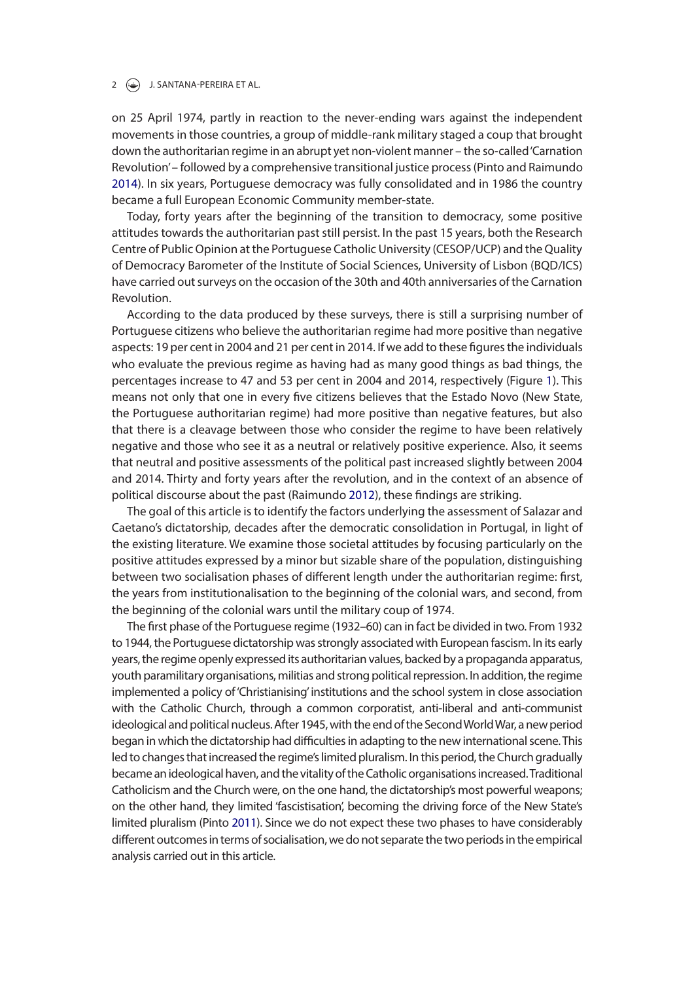#### 2  $\left(\frac{1}{2}\right)$  J. SANTANA-PEREIRA ET AL.

on 25 April 1974, partly in reaction to the never-ending wars against the independent movements in those countries, a group of middle-rank military staged a coup that brought down the authoritarian regime in an abrupt yet non-violent manner – the so-called 'Carnation Revolution' – followed by a comprehensive transitional justice process (Pinto and Raimundo 2014). In six years, Portuguese democracy was fully consolidated and in 1986 the country became a full European Economic Community member-state.

Today, forty years after the beginning of the transition to democracy, some positive attitudes towards the authoritarian past still persist. In the past 15 years, both the Research Centre of Public Opinion at the Portuguese Catholic University (CESOP/UCP) and the Quality of Democracy Barometer of the Institute of Social Sciences, University of Lisbon (BQD/ICS) have carried out surveys on the occasion of the 30th and 40th anniversaries of the Carnation Revolution.

According to the data produced by these surveys, there is still a surprising number of Portuguese citizens who believe the authoritarian regime had more positive than negative aspects: 19 per cent in 2004 and 21 per cent in 2014. If we add to these fgures the individuals who evaluate the previous regime as having had as many good things as bad things, the percentages increase to 47 and 53 per cent in 2004 and 2014, respectively (Figure 1). This means not only that one in every fve citizens believes that the Estado Novo (New State, the Portuguese authoritarian regime) had more positive than negative features, but also that there is a cleavage between those who consider the regime to have been relatively negative and those who see it as a neutral or relatively positive experience. Also, it seems that neutral and positive assessments of the political past increased slightly between 2004 and 2014. Thirty and forty years after the revolution, and in the context of an absence of political discourse about the past (Raimundo 2012), these fndings are striking.

The goal of this article is to identify the factors underlying the assessment of Salazar and Caetano's dictatorship, decades after the democratic consolidation in Portugal, in light of the existing literature. We examine those societal attitudes by focusing particularly on the positive attitudes expressed by a minor but sizable share of the population, distinguishing between two socialisation phases of diferent length under the authoritarian regime: frst, the years from institutionalisation to the beginning of the colonial wars, and second, from the beginning of the colonial wars until the military coup of 1974.

The frst phase of the Portuguese regime (1932–60) can in fact be divided in two. From 1932 to 1944, the Portuguese dictatorship was strongly associated with European fascism. In its early years, the regime openly expressed its authoritarian values, backed by a propaganda apparatus, youth paramilitary organisations, militias and strong political repression. In addition, the regime implemented a policy of 'Christianising' institutions and the school system in close association with the Catholic Church, through a common corporatist, anti-liberal and anti-communist ideological and political nucleus. After 1945, with the end of the Second World War, a new period began in which the dictatorship had difficulties in adapting to the new international scene. This led to changes that increased the regime's limited pluralism. In this period, the Church gradually became an ideological haven, and the vitality of the Catholic organisations increased. Traditional Catholicism and the Church were, on the one hand, the dictatorship's most powerful weapons; on the other hand, they limited 'fascistisation', becoming the driving force of the New State's limited pluralism (Pinto 2011). Since we do not expect these two phases to have considerably diferent outcomes in terms of socialisation, we do not separate the two periods in the empirical analysis carried out in this article.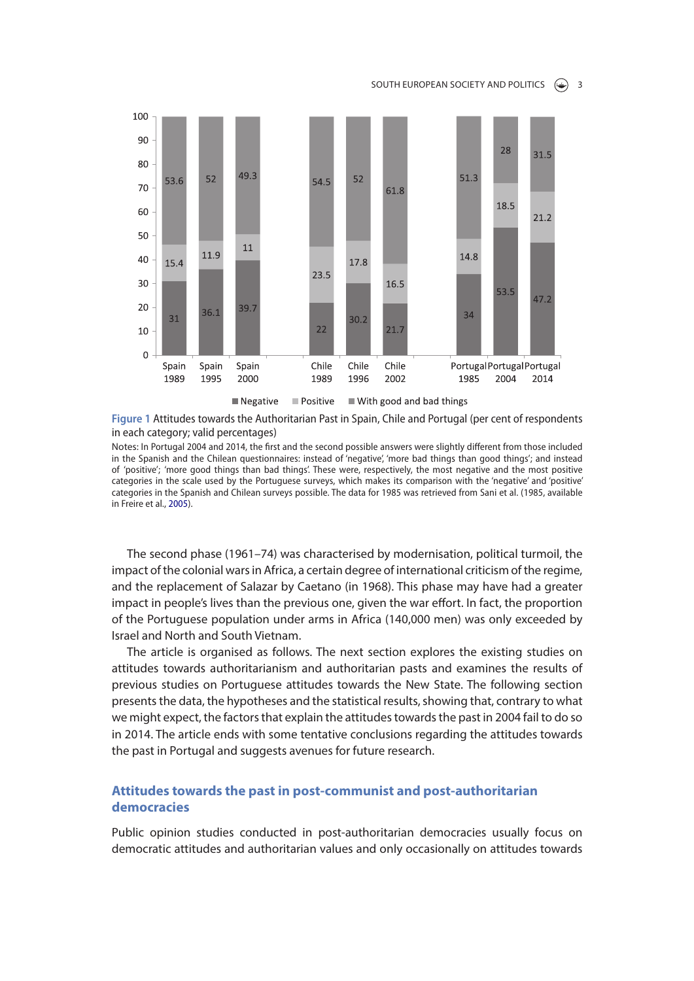

**Figure 1** Attitudes towards the Authoritarian Past in Spain, Chile and Portugal (per cent of respondents in each category; valid percentages)

Notes: In Portugal 2004 and 2014, the first and the second possible answers were slightly different from those included in the Spanish and the Chilean questionnaires: instead of 'negative', 'more bad things than good things'; and instead of 'positive'; 'more good things than bad things'. These were, respectively, the most negative and the most positive categories in the scale used by the Portuguese surveys, which makes its comparison with the 'negative' and 'positive' categories in the Spanish and Chilean surveys possible. The data for 1985 was retrieved from Sani et al. (1985, available in Freire et al., 2005).

The second phase (1961–74) was characterised by modernisation, political turmoil, the impact of the colonial wars in Africa, a certain degree of international criticism of the regime, and the replacement of Salazar by Caetano (in 1968). This phase may have had a greater impact in people's lives than the previous one, given the war efort. In fact, the proportion of the Portuguese population under arms in Africa (140,000 men) was only exceeded by Israel and North and South Vietnam.

The article is organised as follows. The next section explores the existing studies on attitudes towards authoritarianism and authoritarian pasts and examines the results of previous studies on Portuguese attitudes towards the New State. The following section presents the data, the hypotheses and the statistical results, showing that, contrary to what we might expect, the factors that explain the attitudes towards the past in 2004 fail to do so in 2014. The article ends with some tentative conclusions regarding the attitudes towards the past in Portugal and suggests avenues for future research.

## **Attitudes towards the past in post-communist and post-authoritarian democracies**

Public opinion studies conducted in post-authoritarian democracies usually focus on democratic attitudes and authoritarian values and only occasionally on attitudes towards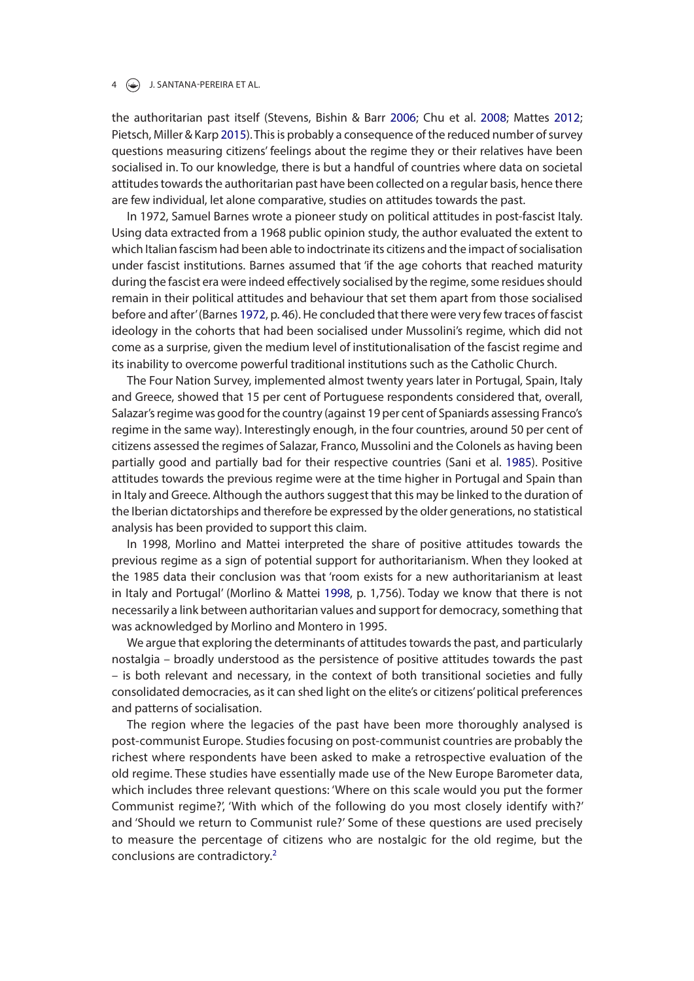#### $\left(\frac{\sqrt{2}}{2}\right)$  J. SANTANA-PEREIRA ET AL.

the authoritarian past itself (Stevens, Bishin & Barr 2006; Chu et al. 2008; Mattes 2012; Pietsch, Miller & Karp 2015). This is probably a consequence of the reduced number of survey questions measuring citizens' feelings about the regime they or their relatives have been socialised in. To our knowledge, there is but a handful of countries where data on societal attitudes towards the authoritarian past have been collected on a regular basis, hence there are few individual, let alone comparative, studies on attitudes towards the past.

In 1972, Samuel Barnes wrote a pioneer study on political attitudes in post-fascist Italy. Using data extracted from a 1968 public opinion study, the author evaluated the extent to which Italian fascism had been able to indoctrinate its citizens and the impact of socialisation under fascist institutions. Barnes assumed that 'if the age cohorts that reached maturity during the fascist era were indeed efectively socialised by the regime, some residues should remain in their political attitudes and behaviour that set them apart from those socialised before and after' (Barnes 1972, p. 46). He concluded that there were very few traces of fascist ideology in the cohorts that had been socialised under Mussolini's regime, which did not come as a surprise, given the medium level of institutionalisation of the fascist regime and its inability to overcome powerful traditional institutions such as the Catholic Church.

The Four Nation Survey, implemented almost twenty years later in Portugal, Spain, Italy and Greece, showed that 15 per cent of Portuguese respondents considered that, overall, Salazar's regime was good for the country (against 19 per cent of Spaniards assessing Franco's regime in the same way). Interestingly enough, in the four countries, around 50 per cent of citizens assessed the regimes of Salazar, Franco, Mussolini and the Colonels as having been partially good and partially bad for their respective countries (Sani et al. 1985). Positive attitudes towards the previous regime were at the time higher in Portugal and Spain than in Italy and Greece. Although the authors suggest that this may be linked to the duration of the Iberian dictatorships and therefore be expressed by the older generations, no statistical analysis has been provided to support this claim.

In 1998, Morlino and Mattei interpreted the share of positive attitudes towards the previous regime as a sign of potential support for authoritarianism. When they looked at the 1985 data their conclusion was that 'room exists for a new authoritarianism at least in Italy and Portugal' (Morlino & Mattei 1998, p. 1,756). Today we know that there is not necessarily a link between authoritarian values and support for democracy, something that was acknowledged by Morlino and Montero in 1995.

We argue that exploring the determinants of attitudes towards the past, and particularly nostalgia – broadly understood as the persistence of positive attitudes towards the past – is both relevant and necessary, in the context of both transitional societies and fully consolidated democracies, as it can shed light on the elite's or citizens' political preferences and patterns of socialisation.

The region where the legacies of the past have been more thoroughly analysed is post-communist Europe. Studies focusing on post-communist countries are probably the richest where respondents have been asked to make a retrospective evaluation of the old regime. These studies have essentially made use of the New Europe Barometer data, which includes three relevant questions: 'Where on this scale would you put the former Communist regime?', 'With which of the following do you most closely identify with?' and 'Should we return to Communist rule?' Some of these questions are used precisely to measure the percentage of citizens who are nostalgic for the old regime, but the conclusions are contradictory.2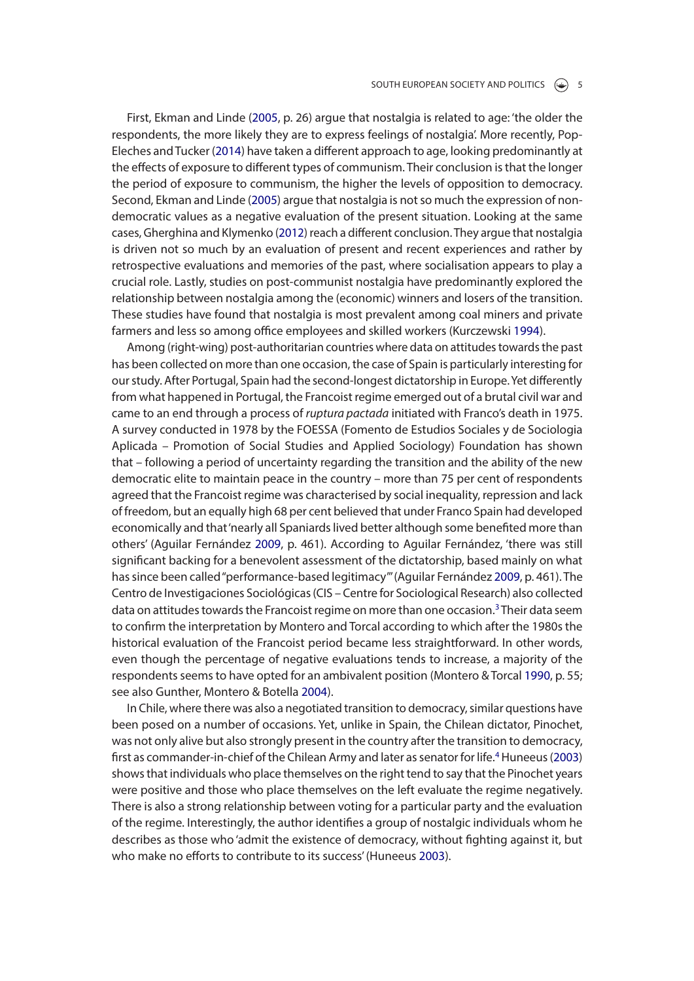First, Ekman and Linde (2005, p. 26) argue that nostalgia is related to age: 'the older the respondents, the more likely they are to express feelings of nostalgia'. More recently, Pop-Eleches and Tucker (2014) have taken a diferent approach to age, looking predominantly at the efects of exposure to diferent types of communism. Their conclusion is that the longer the period of exposure to communism, the higher the levels of opposition to democracy. Second, Ekman and Linde (2005) argue that nostalgia is not so much the expression of nondemocratic values as a negative evaluation of the present situation. Looking at the same cases, Gherghina and Klymenko (2012) reach a diferent conclusion. They argue that nostalgia is driven not so much by an evaluation of present and recent experiences and rather by retrospective evaluations and memories of the past, where socialisation appears to play a crucial role. Lastly, studies on post-communist nostalgia have predominantly explored the relationship between nostalgia among the (economic) winners and losers of the transition. These studies have found that nostalgia is most prevalent among coal miners and private farmers and less so among office employees and skilled workers (Kurczewski 1994).

Among (right-wing) post-authoritarian countries where data on attitudes towards the past has been collected on more than one occasion, the case of Spain is particularly interesting for our study. After Portugal, Spain had the second-longest dictatorship in Europe. Yet diferently from what happened in Portugal, the Francoist regime emerged out of a brutal civil war and came to an end through a process of *ruptura pactada* initiated with Franco's death in 1975. A survey conducted in 1978 by the FOESSA (Fomento de Estudios Sociales y de Sociologia Aplicada – Promotion of Social Studies and Applied Sociology) Foundation has shown that – following a period of uncertainty regarding the transition and the ability of the new democratic elite to maintain peace in the country – more than 75 per cent of respondents agreed that the Francoist regime was characterised by social inequality, repression and lack of freedom, but an equally high 68 per cent believed that under Franco Spain had developed economically and that 'nearly all Spaniards lived better although some benefted more than others' (Aguilar Fernández 2009, p. 461). According to Aguilar Fernández, 'there was still signifcant backing for a benevolent assessment of the dictatorship, based mainly on what has since been called "performance-based legitimacy"' (Aguilar Fernández 2009, p. 461). The Centro de Investigaciones Sociológicas (CIS – Centre for Sociological Research) also collected data on attitudes towards the Francoist regime on more than one occasion.<sup>3</sup> Their data seem to confrm the interpretation by Montero and Torcal according to which after the 1980s the historical evaluation of the Francoist period became less straightforward. In other words, even though the percentage of negative evaluations tends to increase, a majority of the respondents seems to have opted for an ambivalent position (Montero & Torcal 1990, p. 55; see also Gunther, Montero & Botella 2004).

In Chile, where there was also a negotiated transition to democracy, similar questions have been posed on a number of occasions. Yet, unlike in Spain, the Chilean dictator, Pinochet, was not only alive but also strongly present in the country after the transition to democracy, frst as commander-in-chief of the Chilean Army and later as senator for life.4 Huneeus (2003) shows that individuals who place themselves on the right tend to say that the Pinochet years were positive and those who place themselves on the left evaluate the regime negatively. There is also a strong relationship between voting for a particular party and the evaluation of the regime. Interestingly, the author identifes a group of nostalgic individuals whom he describes as those who 'admit the existence of democracy, without fghting against it, but who make no efforts to contribute to its success' (Huneeus 2003).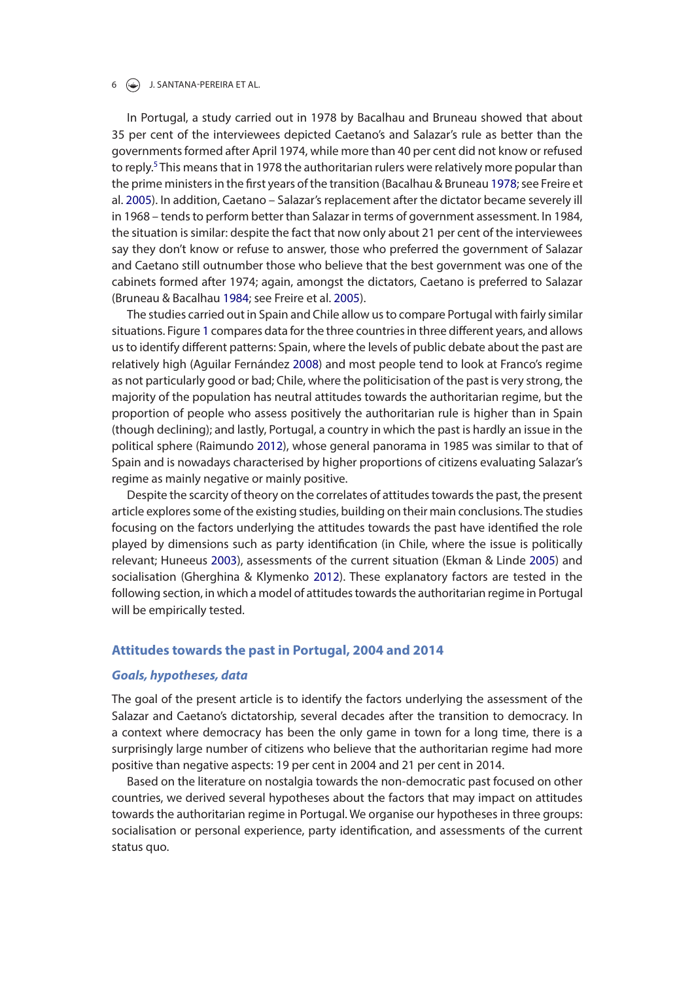#### $6 \quad \Leftrightarrow$  J. SANTANA-PEREIRA ET AL.

In Portugal, a study carried out in 1978 by Bacalhau and Bruneau showed that about 35 per cent of the interviewees depicted Caetano's and Salazar's rule as better than the governments formed after April 1974, while more than 40 per cent did not know or refused to reply.<sup>5</sup> This means that in 1978 the authoritarian rulers were relatively more popular than the prime ministers in the frst years of the transition (Bacalhau & Bruneau 1978; see Freire et al. 2005). In addition, Caetano – Salazar's replacement after the dictator became severely ill in 1968 – tends to perform better than Salazar in terms of government assessment. In 1984, the situation is similar: despite the fact that now only about 21 per cent of the interviewees say they don't know or refuse to answer, those who preferred the government of Salazar and Caetano still outnumber those who believe that the best government was one of the cabinets formed after 1974; again, amongst the dictators, Caetano is preferred to Salazar (Bruneau & Bacalhau 1984; see Freire et al. 2005).

The studies carried out in Spain and Chile allow us to compare Portugal with fairly similar situations. Figure 1 compares data for the three countries in three diferent years, and allows us to identify diferent patterns: Spain, where the levels of public debate about the past are relatively high (Aguilar Fernández 2008) and most people tend to look at Franco's regime as not particularly good or bad; Chile, where the politicisation of the past is very strong, the majority of the population has neutral attitudes towards the authoritarian regime, but the proportion of people who assess positively the authoritarian rule is higher than in Spain (though declining); and lastly, Portugal, a country in which the past is hardly an issue in the political sphere (Raimundo 2012), whose general panorama in 1985 was similar to that of Spain and is nowadays characterised by higher proportions of citizens evaluating Salazar's regime as mainly negative or mainly positive.

Despite the scarcity of theory on the correlates of attitudes towards the past, the present article explores some of the existing studies, building on their main conclusions. The studies focusing on the factors underlying the attitudes towards the past have identifed the role played by dimensions such as party identifcation (in Chile, where the issue is politically relevant; Huneeus 2003), assessments of the current situation (Ekman & Linde 2005) and socialisation (Gherghina & Klymenko 2012). These explanatory factors are tested in the following section, in which a model of attitudes towards the authoritarian regime in Portugal will be empirically tested.

## **Attitudes towards the past in Portugal, 2004 and 2014**

## *Goals, hypotheses, data*

The goal of the present article is to identify the factors underlying the assessment of the Salazar and Caetano's dictatorship, several decades after the transition to democracy. In a context where democracy has been the only game in town for a long time, there is a surprisingly large number of citizens who believe that the authoritarian regime had more positive than negative aspects: 19 per cent in 2004 and 21 per cent in 2014.

Based on the literature on nostalgia towards the non-democratic past focused on other countries, we derived several hypotheses about the factors that may impact on attitudes towards the authoritarian regime in Portugal. We organise our hypotheses in three groups: socialisation or personal experience, party identifcation, and assessments of the current status quo.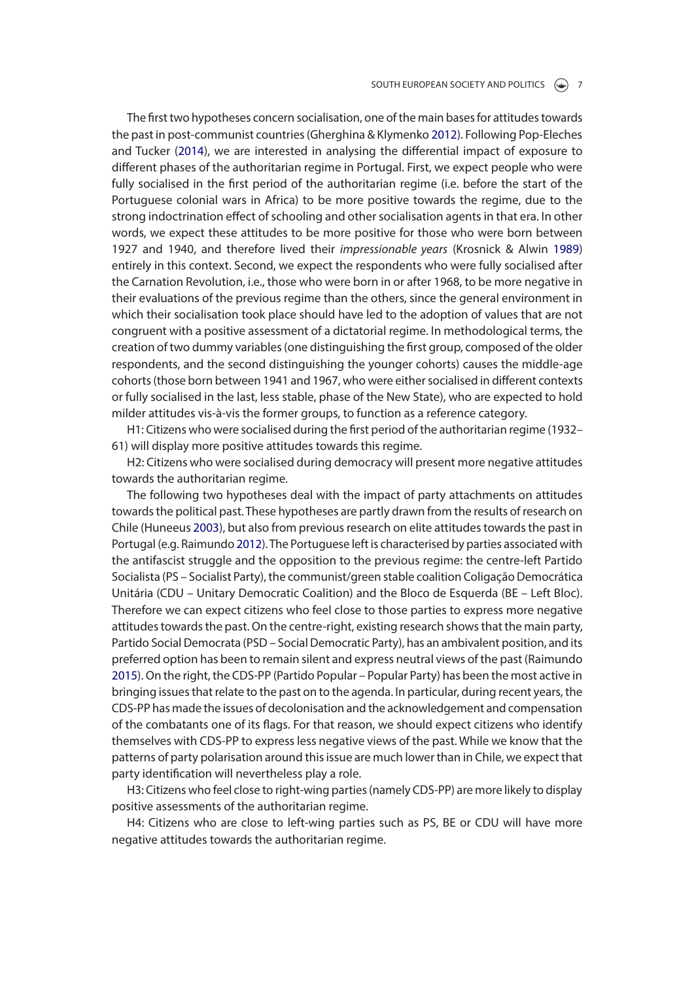The frst two hypotheses concern socialisation, one of the main bases for attitudes towards the past in post-communist countries (Gherghina & Klymenko 2012). Following Pop-Eleches and Tucker (2014), we are interested in analysing the diferential impact of exposure to diferent phases of the authoritarian regime in Portugal. First, we expect people who were fully socialised in the frst period of the authoritarian regime (i.e. before the start of the Portuguese colonial wars in Africa) to be more positive towards the regime, due to the strong indoctrination efect of schooling and other socialisation agents in that era. In other words, we expect these attitudes to be more positive for those who were born between 1927 and 1940, and therefore lived their *impressionable years* (Krosnick & Alwin 1989) entirely in this context. Second, we expect the respondents who were fully socialised after the Carnation Revolution, i.e., those who were born in or after 1968, to be more negative in their evaluations of the previous regime than the others, since the general environment in which their socialisation took place should have led to the adoption of values that are not congruent with a positive assessment of a dictatorial regime. In methodological terms, the creation of two dummy variables (one distinguishing the frst group, composed of the older respondents, and the second distinguishing the younger cohorts) causes the middle-age cohorts (those born between 1941 and 1967, who were either socialised in diferent contexts or fully socialised in the last, less stable, phase of the New State), who are expected to hold milder attitudes vis-à-vis the former groups, to function as a reference category.

H1: Citizens who were socialised during the frst period of the authoritarian regime (1932– 61) will display more positive attitudes towards this regime.

H2: Citizens who were socialised during democracy will present more negative attitudes towards the authoritarian regime.

The following two hypotheses deal with the impact of party attachments on attitudes towards the political past. These hypotheses are partly drawn from the results of research on Chile (Huneeus 2003), but also from previous research on elite attitudes towards the past in Portugal (e.g. Raimundo 2012). The Portuguese left is characterised by parties associated with the antifascist struggle and the opposition to the previous regime: the centre-left Partido Socialista (PS – Socialist Party), the communist/green stable coalition Coligação Democrática Unitária (CDU – Unitary Democratic Coalition) and the Bloco de Esquerda (BE – Left Bloc). Therefore we can expect citizens who feel close to those parties to express more negative attitudes towards the past. On the centre-right, existing research shows that the main party, Partido Social Democrata (PSD – Social Democratic Party), has an ambivalent position, and its preferred option has been to remain silent and express neutral views of the past (Raimundo 2015). On the right, the CDS-PP (Partido Popular – Popular Party) has been the most active in bringing issues that relate to the past on to the agenda. In particular, during recent years, the CDS-PP has made the issues of decolonisation and the acknowledgement and compensation of the combatants one of its fags. For that reason, we should expect citizens who identify themselves with CDS-PP to express less negative views of the past. While we know that the patterns of party polarisation around this issue are much lower than in Chile, we expect that party identifcation will nevertheless play a role.

H3: Citizens who feel close to right-wing parties (namely CDS-PP) are more likely to display positive assessments of the authoritarian regime.

H4: Citizens who are close to left-wing parties such as PS, BE or CDU will have more negative attitudes towards the authoritarian regime.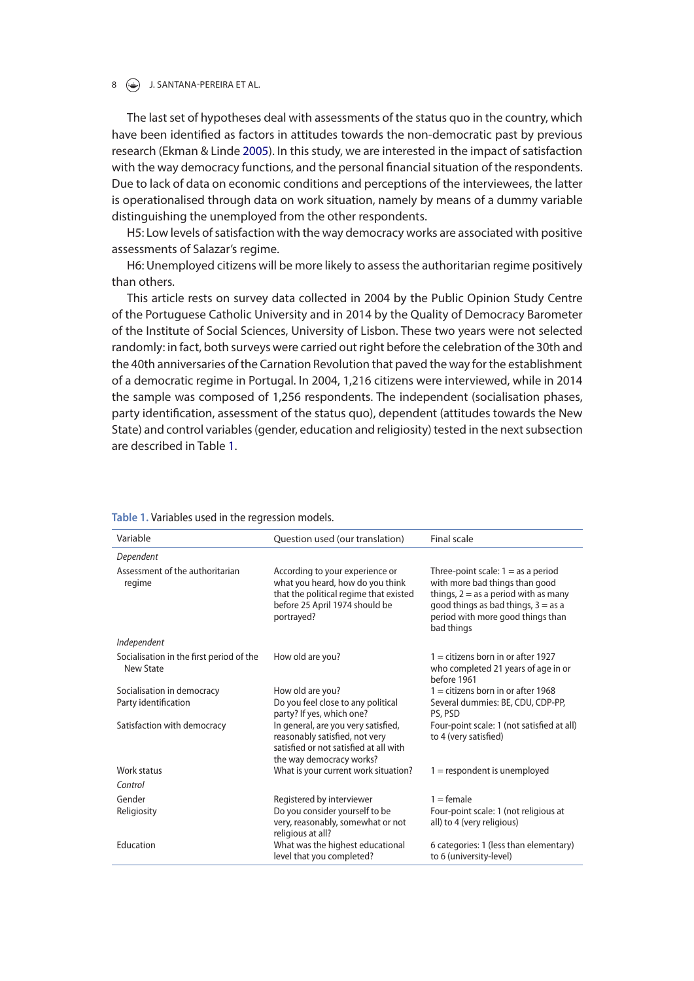### 8  $\left(\frac{1}{2}\right)$  J. SANTANA-PEREIRA ET AL.

The last set of hypotheses deal with assessments of the status quo in the country, which have been identifed as factors in attitudes towards the non-democratic past by previous research (Ekman & Linde 2005). In this study, we are interested in the impact of satisfaction with the way democracy functions, and the personal fnancial situation of the respondents. Due to lack of data on economic conditions and perceptions of the interviewees, the latter is operationalised through data on work situation, namely by means of a dummy variable distinguishing the unemployed from the other respondents.

H5: Low levels of satisfaction with the way democracy works are associated with positive assessments of Salazar's regime.

H6: Unemployed citizens will be more likely to assess the authoritarian regime positively than others.

This article rests on survey data collected in 2004 by the Public Opinion Study Centre of the Portuguese Catholic University and in 2014 by the Quality of Democracy Barometer of the Institute of Social Sciences, University of Lisbon. These two years were not selected randomly: in fact, both surveys were carried out right before the celebration of the 30th and the 40th anniversaries of the Carnation Revolution that paved the way for the establishment of a democratic regime in Portugal. In 2004, 1,216 citizens were interviewed, while in 2014 the sample was composed of 1,256 respondents. The independent (socialisation phases, party identifcation, assessment of the status quo), dependent (attitudes towards the New State) and control variables (gender, education and religiosity) tested in the next subsection are described in Table 1.

| Variable                                              | Question used (our translation)                                                                                                                               | Final scale                                                                                                                                                                                                  |
|-------------------------------------------------------|---------------------------------------------------------------------------------------------------------------------------------------------------------------|--------------------------------------------------------------------------------------------------------------------------------------------------------------------------------------------------------------|
| Dependent                                             |                                                                                                                                                               |                                                                                                                                                                                                              |
| Assessment of the authoritarian<br>regime             | According to your experience or<br>what you heard, how do you think<br>that the political regime that existed<br>before 25 April 1974 should be<br>portrayed? | Three-point scale: $1 =$ as a period<br>with more bad things than good<br>things, $2 = as a period with as many$<br>good things as bad things, $3 = as a$<br>period with more good things than<br>bad things |
| Independent                                           |                                                                                                                                                               |                                                                                                                                                                                                              |
| Socialisation in the first period of the<br>New State | How old are you?                                                                                                                                              | $1 =$ citizens born in or after 1927<br>who completed 21 years of age in or<br>before 1961                                                                                                                   |
| Socialisation in democracy                            | How old are you?                                                                                                                                              | $1 =$ citizens born in or after 1968                                                                                                                                                                         |
| Party identification                                  | Do you feel close to any political<br>party? If yes, which one?                                                                                               | Several dummies: BE, CDU, CDP-PP,<br>PS, PSD                                                                                                                                                                 |
| Satisfaction with democracy                           | In general, are you very satisfied,<br>reasonably satisfied, not very<br>satisfied or not satisfied at all with<br>the way democracy works?                   | Four-point scale: 1 (not satisfied at all)<br>to 4 (very satisfied)                                                                                                                                          |
| Work status                                           | What is your current work situation?                                                                                                                          | $1 =$ respondent is unemployed                                                                                                                                                                               |
| Control                                               |                                                                                                                                                               |                                                                                                                                                                                                              |
| Gender<br>Religiosity                                 | Registered by interviewer<br>Do you consider yourself to be<br>very, reasonably, somewhat or not<br>religious at all?                                         | $1 =$ female<br>Four-point scale: 1 (not religious at<br>all) to 4 (very religious)                                                                                                                          |
| Education                                             | What was the highest educational<br>level that you completed?                                                                                                 | 6 categories: 1 (less than elementary)<br>to 6 (university-level)                                                                                                                                            |

#### **Table 1.** Variables used in the regression models.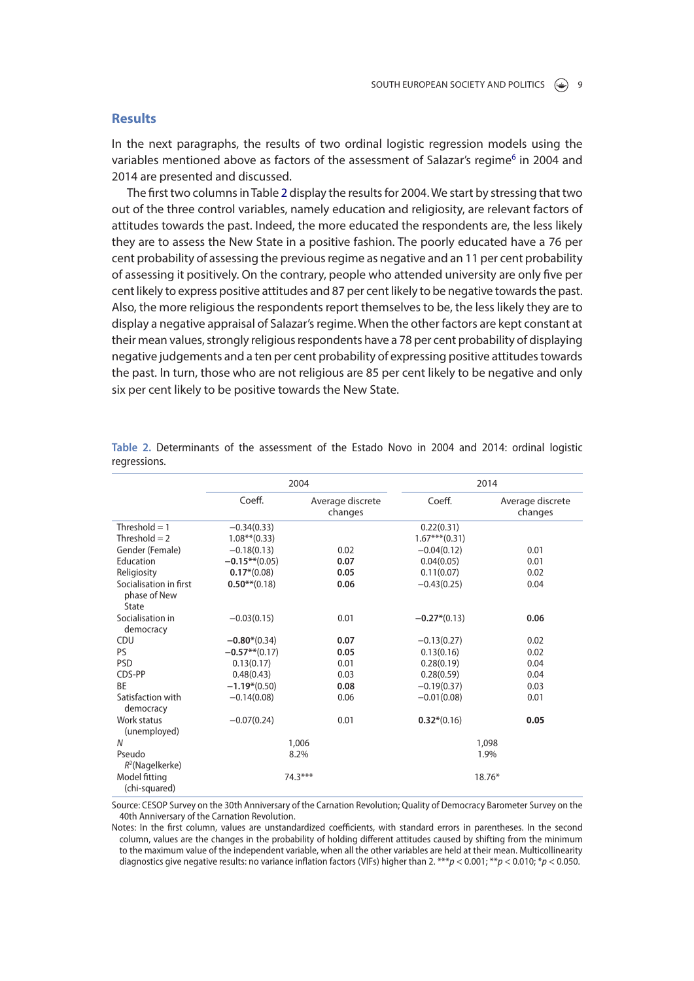## **Results**

In the next paragraphs, the results of two ordinal logistic regression models using the variables mentioned above as factors of the assessment of Salazar's regime<sup>6</sup> in 2004 and 2014 are presented and discussed.

The frst two columns in Table 2 display the results for 2004. We start by stressing that two out of the three control variables, namely education and religiosity, are relevant factors of attitudes towards the past. Indeed, the more educated the respondents are, the less likely they are to assess the New State in a positive fashion. The poorly educated have a 76 per cent probability of assessing the previous regime as negative and an 11 per cent probability of assessing it positively. On the contrary, people who attended university are only fve per cent likely to express positive attitudes and 87 per cent likely to be negative towards the past. Also, the more religious the respondents report themselves to be, the less likely they are to display a negative appraisal of Salazar's regime. When the other factors are kept constant at their mean values, strongly religious respondents have a 78 per cent probability of displaying negative judgements and a ten per cent probability of expressing positive attitudes towards the past. In turn, those who are not religious are 85 per cent likely to be negative and only six per cent likely to be positive towards the New State.

|                                                 | 2004             |                             | 2014            |                             |
|-------------------------------------------------|------------------|-----------------------------|-----------------|-----------------------------|
|                                                 | Coeff.           | Average discrete<br>changes | Coeff.          | Average discrete<br>changes |
| Threshold $= 1$                                 | $-0.34(0.33)$    |                             | 0.22(0.31)      |                             |
| Threshold $= 2$                                 | $1.08**$ (0.33)  |                             | $1.67***(0.31)$ |                             |
| Gender (Female)                                 | $-0.18(0.13)$    | 0.02                        | $-0.04(0.12)$   | 0.01                        |
| Education                                       | $-0.15**$ (0.05) | 0.07                        | 0.04(0.05)      | 0.01                        |
| Religiosity                                     | $0.17*(0.08)$    | 0.05                        | 0.11(0.07)      | 0.02                        |
| Socialisation in first<br>phase of New<br>State | $0.50**$ (0.18)  | 0.06                        | $-0.43(0.25)$   | 0.04                        |
| Socialisation in<br>democracy                   | $-0.03(0.15)$    | 0.01                        | $-0.27*(0.13)$  | 0.06                        |
| CDU                                             | $-0.80*(0.34)$   | 0.07                        | $-0.13(0.27)$   | 0.02                        |
| <b>PS</b>                                       | $-0.57**$ (0.17) | 0.05                        | 0.13(0.16)      | 0.02                        |
| <b>PSD</b>                                      | 0.13(0.17)       | 0.01                        | 0.28(0.19)      | 0.04                        |
| CDS-PP                                          | 0.48(0.43)       | 0.03                        | 0.28(0.59)      | 0.04                        |
| <b>BE</b>                                       | $-1.19*(0.50)$   | 0.08                        | $-0.19(0.37)$   | 0.03                        |
| Satisfaction with<br>democracy                  | $-0.14(0.08)$    | 0.06                        | $-0.01(0.08)$   | 0.01                        |
| Work status<br>(unemployed)                     | $-0.07(0.24)$    | 0.01                        | $0.32*(0.16)$   | 0.05                        |
| N                                               | 1,006            |                             | 1,098           |                             |
| Pseudo<br>$R^2$ (Nagelkerke)                    | 8.2%             |                             | 1.9%            |                             |
| Model fitting<br>(chi-squared)                  |                  | 74.3***                     |                 | $18.76*$                    |

**Table 2.** Determinants of the assessment of the Estado Novo in 2004 and 2014: ordinal logistic regressions.

Source: CESOP Survey on the 30th Anniversary of the Carnation Revolution; Quality of Democracy Barometer Survey on the 40th Anniversary of the Carnation Revolution.

Notes: In the first column, values are unstandardized coefficients, with standard errors in parentheses. In the second column, values are the changes in the probability of holding different attitudes caused by shifting from the minimum to the maximum value of the independent variable, when all the other variables are held at their mean. Multicollinearity diagnostics give negative results: no variance inflation factors (VIFs) higher than 2. \*\*\**p* < 0.001; \*\**p* < 0.010; \**p* < 0.050.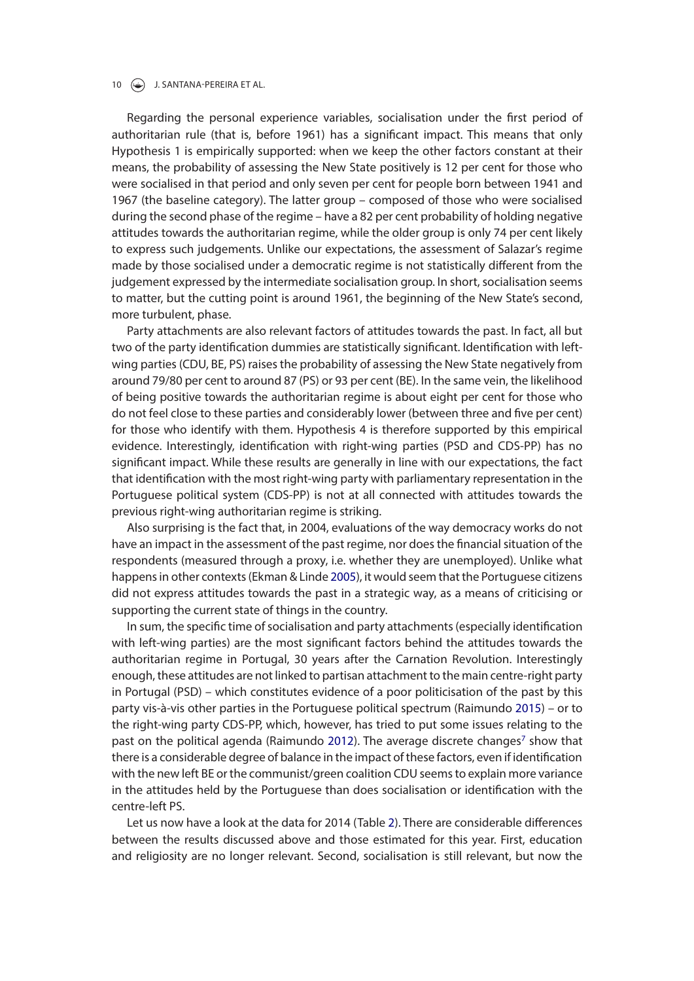#### 10 **J. SANTANA-PEREIRA ET AL.**

Regarding the personal experience variables, socialisation under the frst period of authoritarian rule (that is, before 1961) has a signifcant impact. This means that only Hypothesis 1 is empirically supported: when we keep the other factors constant at their means, the probability of assessing the New State positively is 12 per cent for those who were socialised in that period and only seven per cent for people born between 1941 and 1967 (the baseline category). The latter group – composed of those who were socialised during the second phase of the regime – have a 82 per cent probability of holding negative attitudes towards the authoritarian regime, while the older group is only 74 per cent likely to express such judgements. Unlike our expectations, the assessment of Salazar's regime made by those socialised under a democratic regime is not statistically diferent from the judgement expressed by the intermediate socialisation group. In short, socialisation seems to matter, but the cutting point is around 1961, the beginning of the New State's second, more turbulent, phase.

Party attachments are also relevant factors of attitudes towards the past. In fact, all but two of the party identifcation dummies are statistically signifcant. Identifcation with leftwing parties (CDU, BE, PS) raises the probability of assessing the New State negatively from around 79/80 per cent to around 87 (PS) or 93 per cent (BE). In the same vein, the likelihood of being positive towards the authoritarian regime is about eight per cent for those who do not feel close to these parties and considerably lower (between three and fve per cent) for those who identify with them. Hypothesis 4 is therefore supported by this empirical evidence. Interestingly, identifcation with right-wing parties (PSD and CDS-PP) has no signifcant impact. While these results are generally in line with our expectations, the fact that identifcation with the most right-wing party with parliamentary representation in the Portuguese political system (CDS-PP) is not at all connected with attitudes towards the previous right-wing authoritarian regime is striking.

Also surprising is the fact that, in 2004, evaluations of the way democracy works do not have an impact in the assessment of the past regime, nor does the fnancial situation of the respondents (measured through a proxy, i.e. whether they are unemployed). Unlike what happens in other contexts (Ekman & Linde 2005), it would seem that the Portuguese citizens did not express attitudes towards the past in a strategic way, as a means of criticising or supporting the current state of things in the country.

In sum, the specifc time of socialisation and party attachments (especially identifcation with left-wing parties) are the most signifcant factors behind the attitudes towards the authoritarian regime in Portugal, 30 years after the Carnation Revolution. Interestingly enough, these attitudes are not linked to partisan attachment to the main centre-right party in Portugal (PSD) – which constitutes evidence of a poor politicisation of the past by this party vis-à-vis other parties in the Portuguese political spectrum (Raimundo 2015) – or to the right-wing party CDS-PP, which, however, has tried to put some issues relating to the past on the political agenda (Raimundo 2012). The average discrete changes<sup>7</sup> show that there is a considerable degree of balance in the impact of these factors, even if identifcation with the new left BE or the communist/green coalition CDU seems to explain more variance in the attitudes held by the Portuguese than does socialisation or identifcation with the centre-left PS.

Let us now have a look at the data for 2014 (Table 2). There are considerable diferences between the results discussed above and those estimated for this year. First, education and religiosity are no longer relevant. Second, socialisation is still relevant, but now the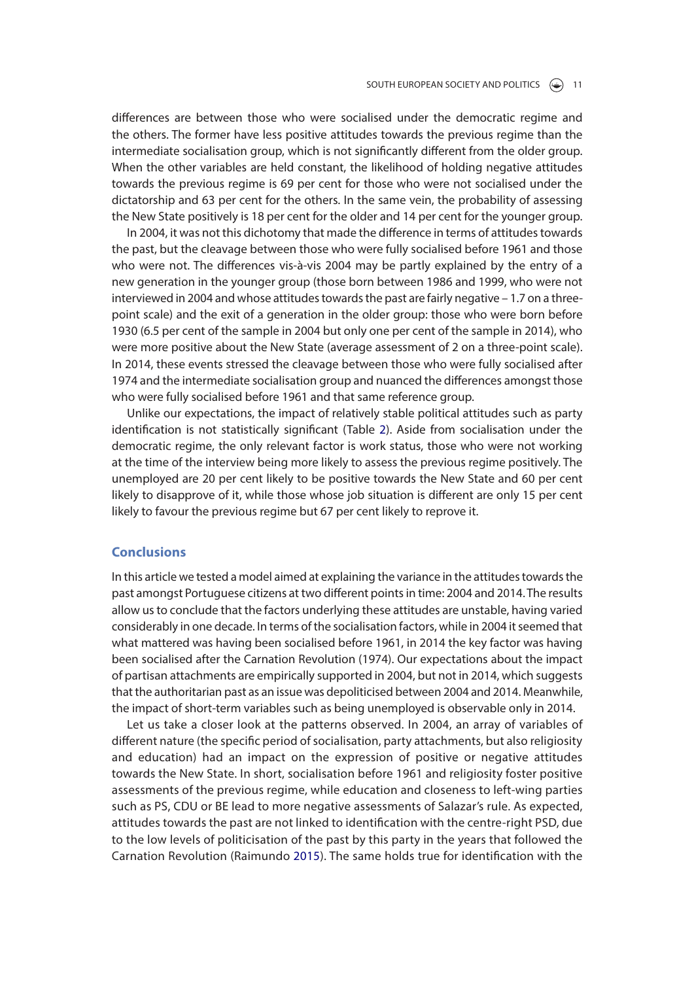diferences are between those who were socialised under the democratic regime and the others. The former have less positive attitudes towards the previous regime than the intermediate socialisation group, which is not signifcantly diferent from the older group. When the other variables are held constant, the likelihood of holding negative attitudes towards the previous regime is 69 per cent for those who were not socialised under the dictatorship and 63 per cent for the others. In the same vein, the probability of assessing the New State positively is 18 per cent for the older and 14 per cent for the younger group.

In 2004, it was not this dichotomy that made the diference in terms of attitudes towards the past, but the cleavage between those who were fully socialised before 1961 and those who were not. The diferences vis-à-vis 2004 may be partly explained by the entry of a new generation in the younger group (those born between 1986 and 1999, who were not interviewed in 2004 and whose attitudes towards the past are fairly negative – 1.7 on a threepoint scale) and the exit of a generation in the older group: those who were born before 1930 (6.5 per cent of the sample in 2004 but only one per cent of the sample in 2014), who were more positive about the New State (average assessment of 2 on a three-point scale). In 2014, these events stressed the cleavage between those who were fully socialised after 1974 and the intermediate socialisation group and nuanced the diferences amongst those who were fully socialised before 1961 and that same reference group.

Unlike our expectations, the impact of relatively stable political attitudes such as party identifcation is not statistically signifcant (Table 2). Aside from socialisation under the democratic regime, the only relevant factor is work status, those who were not working at the time of the interview being more likely to assess the previous regime positively. The unemployed are 20 per cent likely to be positive towards the New State and 60 per cent likely to disapprove of it, while those whose job situation is diferent are only 15 per cent likely to favour the previous regime but 67 per cent likely to reprove it.

## **Conclusions**

In this article we tested a model aimed at explaining the variance in the attitudes towards the past amongst Portuguese citizens at two diferent points in time: 2004 and 2014. The results allow us to conclude that the factors underlying these attitudes are unstable, having varied considerably in one decade. In terms of the socialisation factors, while in 2004 it seemed that what mattered was having been socialised before 1961, in 2014 the key factor was having been socialised after the Carnation Revolution (1974). Our expectations about the impact of partisan attachments are empirically supported in 2004, but not in 2014, which suggests that the authoritarian past as an issue was depoliticised between 2004 and 2014. Meanwhile, the impact of short-term variables such as being unemployed is observable only in 2014.

Let us take a closer look at the patterns observed. In 2004, an array of variables of diferent nature (the specifc period of socialisation, party attachments, but also religiosity and education) had an impact on the expression of positive or negative attitudes towards the New State. In short, socialisation before 1961 and religiosity foster positive assessments of the previous regime, while education and closeness to left-wing parties such as PS, CDU or BE lead to more negative assessments of Salazar's rule. As expected, attitudes towards the past are not linked to identifcation with the centre-right PSD, due to the low levels of politicisation of the past by this party in the years that followed the Carnation Revolution (Raimundo 2015). The same holds true for identifcation with the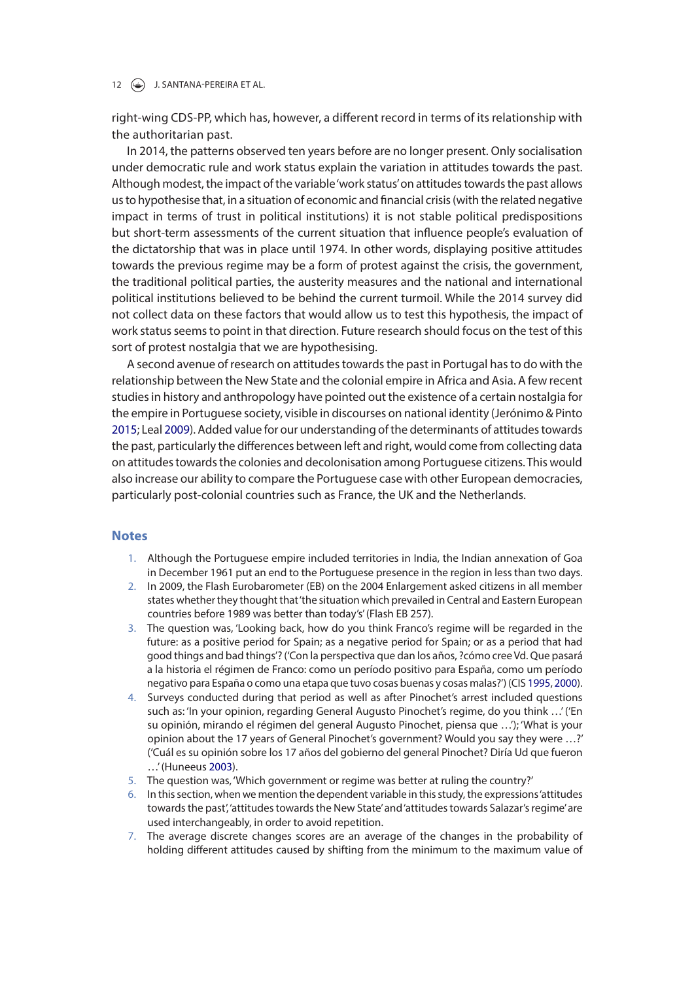### 12 **J. SANTANA-PEREIRA ET AL.**

right-wing CDS-PP, which has, however, a diferent record in terms of its relationship with the authoritarian past.

In 2014, the patterns observed ten years before are no longer present. Only socialisation under democratic rule and work status explain the variation in attitudes towards the past. Although modest, the impact of the variable 'work status' on attitudes towards the past allows us to hypothesise that, in a situation of economic and fnancial crisis (with the related negative impact in terms of trust in political institutions) it is not stable political predispositions but short-term assessments of the current situation that infuence people's evaluation of the dictatorship that was in place until 1974. In other words, displaying positive attitudes towards the previous regime may be a form of protest against the crisis, the government, the traditional political parties, the austerity measures and the national and international political institutions believed to be behind the current turmoil. While the 2014 survey did not collect data on these factors that would allow us to test this hypothesis, the impact of work status seems to point in that direction. Future research should focus on the test of this sort of protest nostalgia that we are hypothesising.

A second avenue of research on attitudes towards the past in Portugal has to do with the relationship between the New State and the colonial empire in Africa and Asia. A few recent studies in history and anthropology have pointed out the existence of a certain nostalgia for the empire in Portuguese society, visible in discourses on national identity (Jerónimo & Pinto 2015; Leal 2009). Added value for our understanding of the determinants of attitudes towards the past, particularly the diferences between left and right, would come from collecting data on attitudes towards the colonies and decolonisation among Portuguese citizens. This would also increase our ability to compare the Portuguese case with other European democracies, particularly post-colonial countries such as France, the UK and the Netherlands.

## **Notes**

- 1. Although the Portuguese empire included territories in India, the Indian annexation of Goa in December 1961 put an end to the Portuguese presence in the region in less than two days.
- 2. In 2009, the Flash Eurobarometer (EB) on the 2004 Enlargement asked citizens in all member states whether they thought that 'the situation which prevailed in Central and Eastern European countries before 1989 was better than today's' (Flash EB 257).
- 3. The question was, 'Looking back, how do you think Franco's regime will be regarded in the future: as a positive period for Spain; as a negative period for Spain; or as a period that had good things and bad things'? ('Con la perspectiva que dan los años, ?cómo cree Vd. Que pasará a la historia el régimen de Franco: como un período positivo para España, como um período negativo para España o como una etapa que tuvo cosas buenas y cosas malas?') (CIS 1995, 2000).
- 4. Surveys conducted during that period as well as after Pinochet's arrest included questions such as: 'In your opinion, regarding General Augusto Pinochet's regime, do you think …' ('En su opinión, mirando el régimen del general Augusto Pinochet, piensa que …'); 'What is your opinion about the 17 years of General Pinochet's government? Would you say they were …?' ('Cuál es su opinión sobre los 17 años del gobierno del general Pinochet? Diría Ud que fueron …' (Huneeus 2003).
- 5. The question was, 'Which government or regime was better at ruling the country?'
- 6. In this section, when we mention the dependent variable in this study, the expressions 'attitudes towards the past', 'attitudes towards the New State' and 'attitudes towards Salazar's regime' are used interchangeably, in order to avoid repetition.
- 7. The average discrete changes scores are an average of the changes in the probability of holding diferent attitudes caused by shifting from the minimum to the maximum value of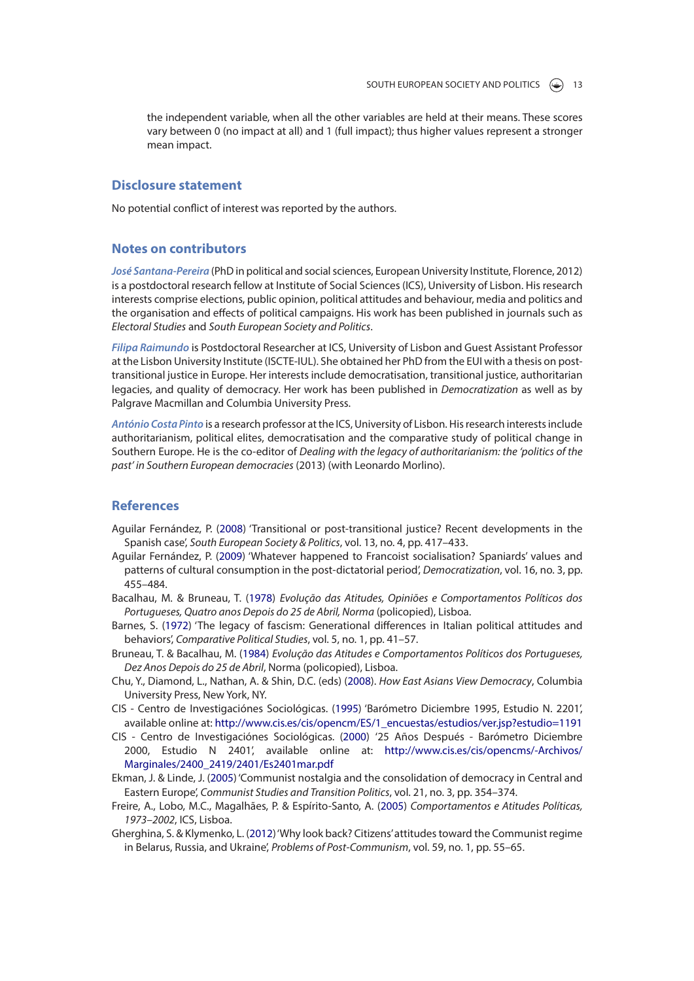the independent variable, when all the other variables are held at their means. These scores vary between 0 (no impact at all) and 1 (full impact); thus higher values represent a stronger mean impact.

### **Disclosure statement**

No potential confict of interest was reported by the authors.

## **Notes on contributors**

*José Santana-Pereira* (PhD in political and social sciences, European University Institute, Florence, 2012) is a postdoctoral research fellow at Institute of Social Sciences (ICS), University of Lisbon. His research interests comprise elections, public opinion, political attitudes and behaviour, media and politics and the organisation and efects of political campaigns. His work has been published in journals such as *Electoral Studies* and *South European Society and Politics*.

*Filipa Raimundo* is Postdoctoral Researcher at ICS, University of Lisbon and Guest Assistant Professor at the Lisbon University Institute (ISCTE-IUL). She obtained her PhD from the EUI with a thesis on posttransitional justice in Europe. Her interests include democratisation, transitional justice, authoritarian legacies, and quality of democracy. Her work has been published in *Democratization* as well as by Palgrave Macmillan and Columbia University Press.

*António Costa Pinto* is a research professor at the ICS, University of Lisbon. His research interests include authoritarianism, political elites, democratisation and the comparative study of political change in Southern Europe. He is the co-editor of *Dealing with the legacy of authoritarianism: the 'politics of the past' in Southern European democracies* (2013) (with Leonardo Morlino).

## **References**

- Aguilar Fernández, P. (2008) 'Transitional or post-transitional justice? Recent developments in the Spanish case', *South European Society & Politics*, vol. 13, no. 4, pp. 417–433.
- Aguilar Fernández, P. (2009) 'Whatever happened to Francoist socialisation? Spaniards' values and patterns of cultural consumption in the post-dictatorial period', *Democratization*, vol. 16, no. 3, pp. 455–484.
- Bacalhau, M. & Bruneau, T. (1978) *Evolução das Atitudes, Opiniões e Comportamentos Políticos dos Portugueses, Quatro anos Depois do 25 de Abril, Norma* (policopied), Lisboa.
- Barnes, S. (1972) 'The legacy of fascism: Generational diferences in Italian political attitudes and behaviors', *Comparative Political Studies*, vol. 5, no. 1, pp. 41–57.
- Bruneau, T. & Bacalhau, M. (1984) *Evolução das Atitudes e Comportamentos Políticos dos Portugueses, Dez Anos Depois do 25 de Abril*, Norma (policopied), Lisboa.
- Chu, Y., Diamond, L., Nathan, A. & Shin, D.C. (eds) (2008). *How East Asians View Democracy*, Columbia University Press, New York, NY.
- CIS Centro de Investigaciónes Sociológicas. (1995) 'Barómetro Diciembre 1995, Estudio N. 2201', available online at: http://www.cis.es/cis/opencm/ES/1\_encuestas/estudios/ver.jsp?estudio=1191
- CIS Centro de Investigaciónes Sociológicas. (2000) '25 Años Después Barómetro Diciembre 2000, Estudio N 2401', available online at: http://www.cis.es/cis/opencms/-Archivos/ Marginales/2400\_2419/2401/Es2401mar.pdf
- Ekman, J. & Linde, J. (2005) 'Communist nostalgia and the consolidation of democracy in Central and Eastern Europe', *Communist Studies and Transition Politics*, vol. 21, no. 3, pp. 354–374.
- Freire, A., Lobo, M.C., Magalhães, P. & Espírito-Santo, A. (2005) *Comportamentos e Atitudes Políticas, 1973–2002*, ICS, Lisboa.
- Gherghina, S. & Klymenko, L. (2012) 'Why look back? Citizens' attitudes toward the Communist regime in Belarus, Russia, and Ukraine', *Problems of Post-Communism*, vol. 59, no. 1, pp. 55–65.